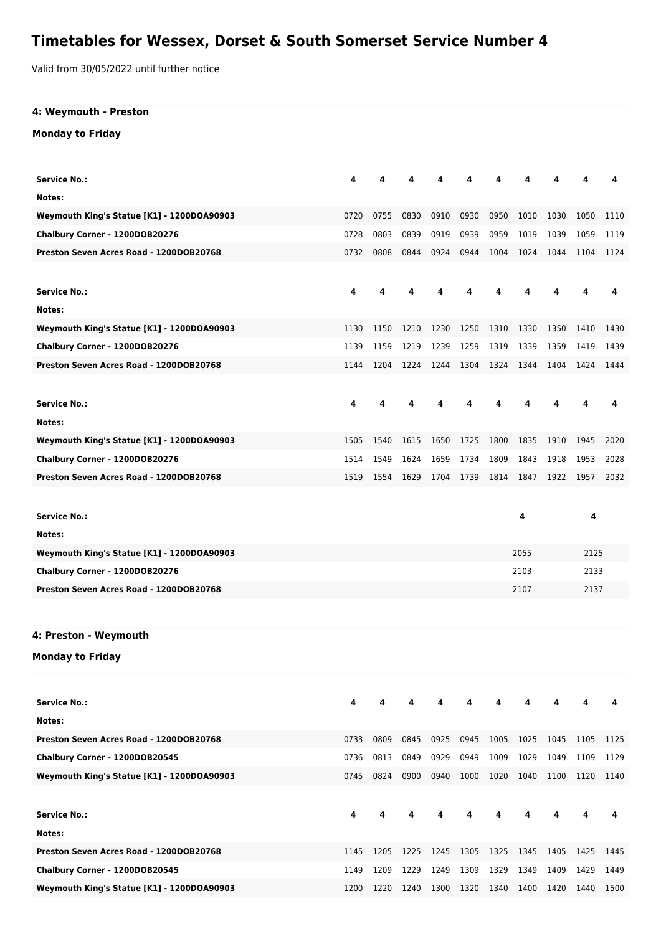## **Timetables for Wessex, Dorset & South Somerset Service Number 4**

Valid from 30/05/2022 until further notice

## **4: Weymouth - Preston**

## **Monday to Friday**

| <b>Service No.:</b>                        | 4    |      |      |      |      |           |      |      |      | 4    |  |  |
|--------------------------------------------|------|------|------|------|------|-----------|------|------|------|------|--|--|
| Notes:                                     |      |      |      |      |      |           |      |      |      |      |  |  |
| Weymouth King's Statue [K1] - 1200DOA90903 | 0720 | 0755 | 0830 | 0910 | 0930 | 0950      | 1010 | 1030 | 1050 | 1110 |  |  |
| Chalbury Corner - 1200DOB20276             | 0728 | 0803 | 0839 | 0919 | 0939 | 0959      | 1019 | 1039 | 1059 | 1119 |  |  |
| Preston Seven Acres Road - 1200DOB20768    | 0732 | 0808 | 0844 | 0924 | 0944 | 1004      | 1024 | 1044 | 1104 | 1124 |  |  |
|                                            |      |      |      |      |      |           |      |      |      |      |  |  |
| <b>Service No.:</b>                        | 4    |      |      |      |      |           |      |      |      | 4    |  |  |
| Notes:                                     |      |      |      |      |      |           |      |      |      |      |  |  |
| Weymouth King's Statue [K1] - 1200DOA90903 | 1130 | 1150 | 1210 | 1230 | 1250 | 1310      | 1330 | 1350 | 1410 | 1430 |  |  |
| Chalbury Corner - 1200DOB20276             | 1139 | 1159 | 1219 | 1239 | 1259 | 1319      | 1339 | 1359 | 1419 | 1439 |  |  |
| Preston Seven Acres Road - 1200DOB20768    | 1144 | 1204 | 1224 | 1244 |      | 1304 1324 | 1344 | 1404 | 1424 | 1444 |  |  |
|                                            |      |      |      |      |      |           |      |      |      |      |  |  |
| <b>Service No.:</b>                        | 4    |      | 4    |      |      |           | 4    |      |      | 4    |  |  |
| Notes:                                     |      |      |      |      |      |           |      |      |      |      |  |  |
| Weymouth King's Statue [K1] - 1200DOA90903 | 1505 | 1540 | 1615 | 1650 | 1725 | 1800      | 1835 | 1910 | 1945 | 2020 |  |  |
| Chalbury Corner - 1200DOB20276             | 1514 | 1549 | 1624 | 1659 | 1734 | 1809      | 1843 | 1918 | 1953 | 2028 |  |  |
| Preston Seven Acres Road - 1200DOB20768    | 1519 | 1554 | 1629 | 1704 | 1739 | 1814      | 1847 | 1922 | 1957 | 2032 |  |  |
|                                            |      |      |      |      |      |           |      |      |      |      |  |  |
| <b>Service No.:</b>                        |      |      |      |      |      |           | 4    |      | 4    |      |  |  |
| Notes:                                     |      |      |      |      |      |           |      |      |      |      |  |  |
| Weymouth King's Statue [K1] - 1200DOA90903 |      |      |      |      |      | 2055      |      |      | 2125 |      |  |  |
| Chalbury Corner - 1200DOB20276             |      |      |      |      |      | 2103      |      |      |      | 2133 |  |  |
| Preston Seven Acres Road - 1200DOB20768    |      |      |      |      |      | 2107      |      |      | 2137 |      |  |  |
|                                            |      |      |      |      |      |           |      |      |      |      |  |  |
|                                            |      |      |      |      |      |           |      |      |      |      |  |  |
| 4: Preston - Weymouth                      |      |      |      |      |      |           |      |      |      |      |  |  |
| <b>Monday to Friday</b>                    |      |      |      |      |      |           |      |      |      |      |  |  |
|                                            |      |      |      |      |      |           |      |      |      |      |  |  |
| <b>Service No.:</b>                        | 4    | 4    | 4    |      |      |           | 4    |      |      | 4    |  |  |
| Notes:                                     |      |      |      |      |      |           |      |      |      |      |  |  |
| Preston Seven Acres Road - 1200DOB20768    | 0733 | 0809 | 0845 | 0925 | 0945 | 1005      | 1025 | 1045 | 1105 | 1125 |  |  |
| Chalbury Corner - 1200DOB20545             | 0736 | 0813 | 0849 | 0929 | 0949 | 1009      | 1029 | 1049 | 1109 | 1129 |  |  |
| Weymouth King's Statue [K1] - 1200DOA90903 | 0745 | 0824 | 0900 | 0940 | 1000 | 1020      | 1040 | 1100 | 1120 | 1140 |  |  |
|                                            |      |      |      |      |      |           |      |      |      |      |  |  |
| <b>Service No.:</b>                        | 4    |      |      |      |      |           |      |      |      | 4    |  |  |
| Notes:                                     |      |      |      |      |      |           |      |      |      |      |  |  |
| Preston Seven Acres Road - 1200DOB20768    | 1145 | 1205 | 1225 | 1245 | 1305 | 1325      | 1345 | 1405 | 1425 | 1445 |  |  |
| Chalbury Corner - 1200DOB20545             | 1149 | 1209 | 1229 | 1249 | 1309 | 1329      | 1349 | 1409 | 1429 | 1449 |  |  |
| Weymouth King's Statue [K1] - 1200DOA90903 | 1200 | 1220 | 1240 | 1300 | 1320 | 1340      | 1400 | 1420 | 1440 | 1500 |  |  |